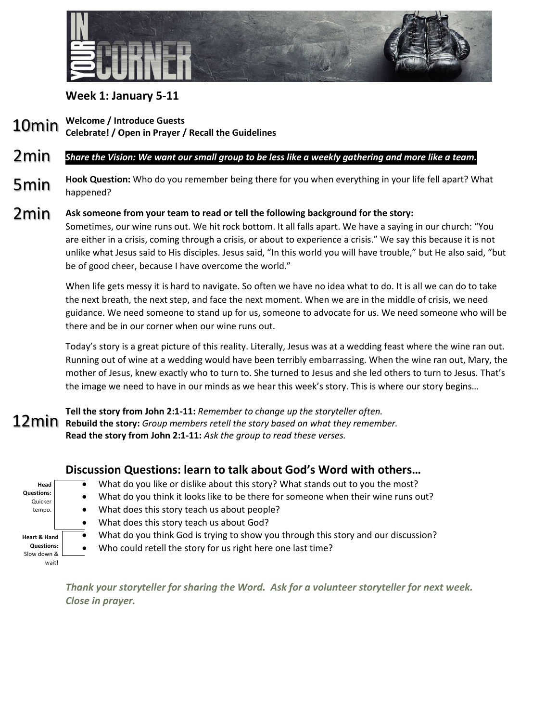

### **Week 1: January 5-11**

**Welcome / Introduce Guests** 10min

**Celebrate! / Open in Prayer / Recall the Guidelines**

#### *Share the Vision: We want our small group to be less like a weekly gathering and more like a team.*  2min

**Hook Question:** Who do you remember being there for you when everything in your life fell apart? What happened? 5min

**Ask someone from your team to read or tell the following background for the story:** Sometimes, our wine runs out. We hit rock bottom. It all falls apart. We have a saying in our church: "You are either in a crisis, coming through a crisis, or about to experience a crisis." We say this because it is not unlike what Jesus said to His disciples. Jesus said, "In this world you will have trouble," but He also said, "but be of good cheer, because I have overcome the world." 2min

> When life gets messy it is hard to navigate. So often we have no idea what to do. It is all we can do to take the next breath, the next step, and face the next moment. When we are in the middle of crisis, we need guidance. We need someone to stand up for us, someone to advocate for us. We need someone who will be there and be in our corner when our wine runs out.

> Today's story is a great picture of this reality. Literally, Jesus was at a wedding feast where the wine ran out. Running out of wine at a wedding would have been terribly embarrassing. When the wine ran out, Mary, the mother of Jesus, knew exactly who to turn to. She turned to Jesus and she led others to turn to Jesus. That's the image we need to have in our minds as we hear this week's story. This is where our story begins…

**Tell the story from John 2:1-11:** *Remember to change up the storyteller often.* **Rebuild the story:** *Group members retell the story based on what they remember.* **Read the story from John 2:1-11:** *Ask the group to read these verses.*

### **Discussion Questions: learn to talk about God's Word with others…**

| Head<br><b>Questions:</b><br>Quicker<br>tempo.                       |           | What do you like or dislike about this story? What stands out to you the most?     |
|----------------------------------------------------------------------|-----------|------------------------------------------------------------------------------------|
|                                                                      | $\bullet$ | What do you think it looks like to be there for someone when their wine runs out?  |
|                                                                      |           | What does this story teach us about people?                                        |
|                                                                      |           | What does this story teach us about God?                                           |
| <b>Heart &amp; Hand</b><br><b>Questions:</b><br>Slow down &<br>wait! |           | What do you think God is trying to show you through this story and our discussion? |
|                                                                      | $\bullet$ | Who could retell the story for us right here one last time?                        |
|                                                                      |           |                                                                                    |
|                                                                      |           |                                                                                    |

*Thank your storyteller for sharing the Word. Ask for a volunteer storyteller for next week. Close in prayer.*